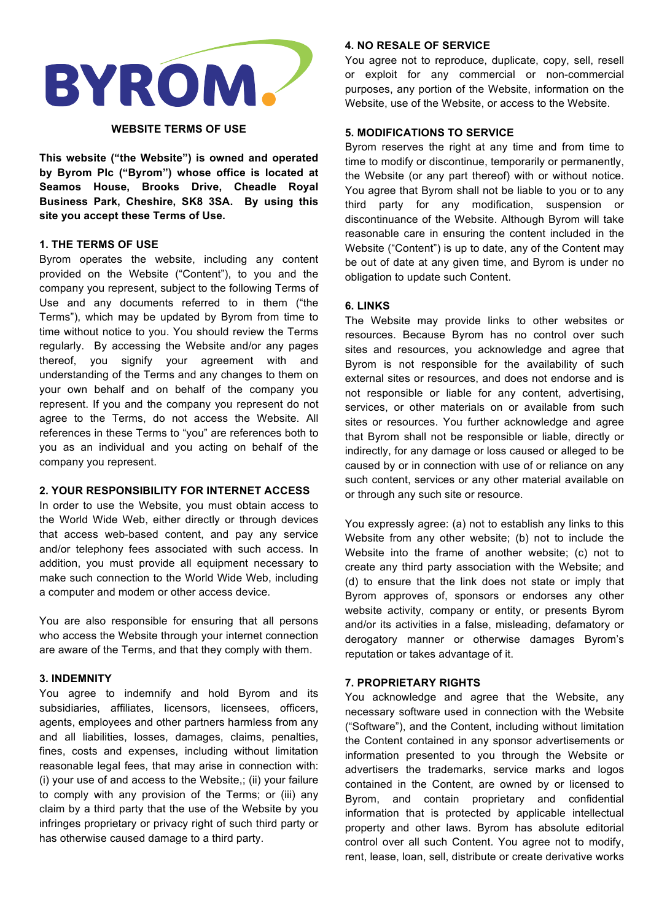

#### **WEBSITE TERMS OF USE**

**This website ("the Website") is owned and operated by Byrom Plc ("Byrom") whose office is located at Seamos House, Brooks Drive, Cheadle Royal Business Park, Cheshire, SK8 3SA. By using this site you accept these Terms of Use.** 

#### **1. THE TERMS OF USE**

Byrom operates the website, including any content provided on the Website ("Content"), to you and the company you represent, subject to the following Terms of Use and any documents referred to in them ("the Terms"), which may be updated by Byrom from time to time without notice to you. You should review the Terms regularly. By accessing the Website and/or any pages thereof, you signify your agreement with and understanding of the Terms and any changes to them on your own behalf and on behalf of the company you represent. If you and the company you represent do not agree to the Terms, do not access the Website. All references in these Terms to "you" are references both to you as an individual and you acting on behalf of the company you represent.

#### **2. YOUR RESPONSIBILITY FOR INTERNET ACCESS**

In order to use the Website, you must obtain access to the World Wide Web, either directly or through devices that access web-based content, and pay any service and/or telephony fees associated with such access. In addition, you must provide all equipment necessary to make such connection to the World Wide Web, including a computer and modem or other access device.

You are also responsible for ensuring that all persons who access the Website through your internet connection are aware of the Terms, and that they comply with them.

#### **3. INDEMNITY**

You agree to indemnify and hold Byrom and its subsidiaries, affiliates, licensors, licensees, officers, agents, employees and other partners harmless from any and all liabilities, losses, damages, claims, penalties, fines, costs and expenses, including without limitation reasonable legal fees, that may arise in connection with: (i) your use of and access to the Website,; (ii) your failure to comply with any provision of the Terms; or (iii) any claim by a third party that the use of the Website by you infringes proprietary or privacy right of such third party or has otherwise caused damage to a third party.

## **4. NO RESALE OF SERVICE**

You agree not to reproduce, duplicate, copy, sell, resell or exploit for any commercial or non-commercial purposes, any portion of the Website, information on the Website, use of the Website, or access to the Website.

#### **5. MODIFICATIONS TO SERVICE**

Byrom reserves the right at any time and from time to time to modify or discontinue, temporarily or permanently, the Website (or any part thereof) with or without notice. You agree that Byrom shall not be liable to you or to any third party for any modification, suspension or discontinuance of the Website. Although Byrom will take reasonable care in ensuring the content included in the Website ("Content") is up to date, any of the Content may be out of date at any given time, and Byrom is under no obligation to update such Content.

## **6. LINKS**

The Website may provide links to other websites or resources. Because Byrom has no control over such sites and resources, you acknowledge and agree that Byrom is not responsible for the availability of such external sites or resources, and does not endorse and is not responsible or liable for any content, advertising, services, or other materials on or available from such sites or resources. You further acknowledge and agree that Byrom shall not be responsible or liable, directly or indirectly, for any damage or loss caused or alleged to be caused by or in connection with use of or reliance on any such content, services or any other material available on or through any such site or resource.

You expressly agree: (a) not to establish any links to this Website from any other website; (b) not to include the Website into the frame of another website; (c) not to create any third party association with the Website; and (d) to ensure that the link does not state or imply that Byrom approves of, sponsors or endorses any other website activity, company or entity, or presents Byrom and/or its activities in a false, misleading, defamatory or derogatory manner or otherwise damages Byrom's reputation or takes advantage of it.

#### **7. PROPRIETARY RIGHTS**

You acknowledge and agree that the Website, any necessary software used in connection with the Website ("Software"), and the Content, including without limitation the Content contained in any sponsor advertisements or information presented to you through the Website or advertisers the trademarks, service marks and logos contained in the Content, are owned by or licensed to Byrom, and contain proprietary and confidential information that is protected by applicable intellectual property and other laws. Byrom has absolute editorial control over all such Content. You agree not to modify, rent, lease, loan, sell, distribute or create derivative works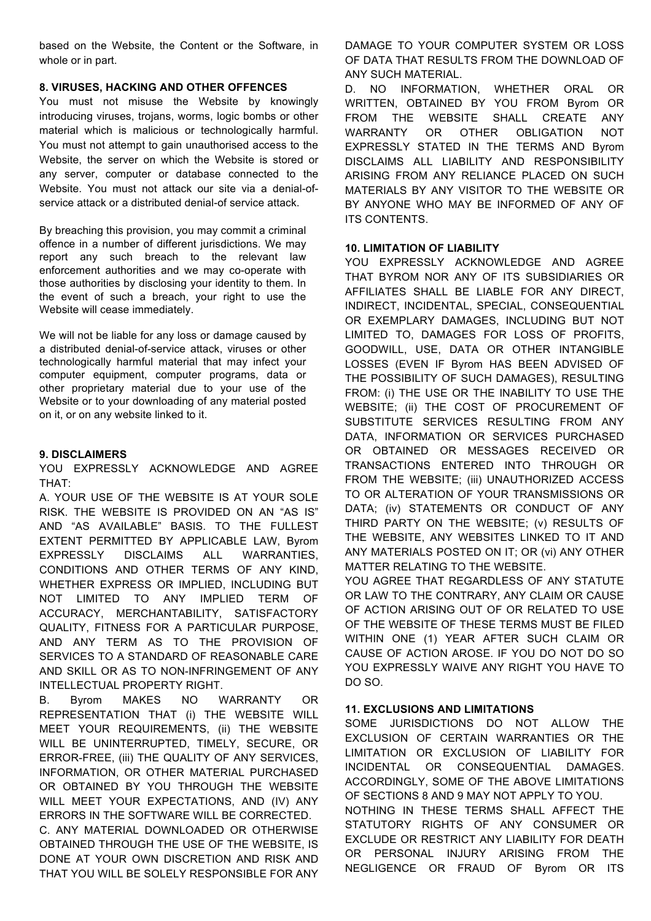based on the Website, the Content or the Software, in whole or in part.

# **8. VIRUSES, HACKING AND OTHER OFFENCES**

You must not misuse the Website by knowingly introducing viruses, troians, worms, logic bombs or other material which is malicious or technologically harmful. You must not attempt to gain unauthorised access to the Website, the server on which the Website is stored or any server, computer or database connected to the Website. You must not attack our site via a denial-ofservice attack or a distributed denial-of service attack.

By breaching this provision, you may commit a criminal offence in a number of different jurisdictions. We may report any such breach to the relevant law enforcement authorities and we may co-operate with those authorities by disclosing your identity to them. In the event of such a breach, your right to use the Website will cease immediately.

We will not be liable for any loss or damage caused by a distributed denial-of-service attack, viruses or other technologically harmful material that may infect your computer equipment, computer programs, data or other proprietary material due to your use of the Website or to your downloading of any material posted on it, or on any website linked to it.

## **9. DISCLAIMERS**

YOU EXPRESSLY ACKNOWLEDGE AND AGREE THAT:

A. YOUR USE OF THE WEBSITE IS AT YOUR SOLE RISK. THE WEBSITE IS PROVIDED ON AN "AS IS" AND "AS AVAILABLE" BASIS. TO THE FULLEST EXTENT PERMITTED BY APPLICABLE LAW, Byrom EXPRESSLY DISCLAIMS ALL WARRANTIES, CONDITIONS AND OTHER TERMS OF ANY KIND, WHETHER EXPRESS OR IMPLIED, INCLUDING BUT NOT LIMITED TO ANY IMPLIED TERM OF ACCURACY, MERCHANTABILITY, SATISFACTORY QUALITY, FITNESS FOR A PARTICULAR PURPOSE, AND ANY TERM AS TO THE PROVISION OF SERVICES TO A STANDARD OF REASONABLE CARE AND SKILL OR AS TO NON-INFRINGEMENT OF ANY INTELLECTUAL PROPERTY RIGHT.

B. Byrom MAKES NO WARRANTY OR REPRESENTATION THAT (i) THE WEBSITE WILL MEET YOUR REQUIREMENTS, (ii) THE WEBSITE WILL BE UNINTERRUPTED, TIMELY, SECURE, OR ERROR-FREE, (iii) THE QUALITY OF ANY SERVICES, INFORMATION, OR OTHER MATERIAL PURCHASED OR OBTAINED BY YOU THROUGH THE WEBSITE WILL MEET YOUR EXPECTATIONS, AND (IV) ANY ERRORS IN THE SOFTWARE WILL BE CORRECTED.

C. ANY MATERIAL DOWNLOADED OR OTHERWISE OBTAINED THROUGH THE USE OF THE WEBSITE, IS DONE AT YOUR OWN DISCRETION AND RISK AND THAT YOU WILL BE SOLELY RESPONSIBLE FOR ANY

DAMAGE TO YOUR COMPUTER SYSTEM OR LOSS OF DATA THAT RESULTS FROM THE DOWNLOAD OF ANY SUCH MATERIAL.

D. NO INFORMATION, WHETHER ORAL OR WRITTEN, OBTAINED BY YOU FROM Byrom OR FROM THE WEBSITE SHALL CREATE ANY WARRANTY OR OTHER OBLIGATION NOT EXPRESSLY STATED IN THE TERMS AND Byrom DISCLAIMS ALL LIABILITY AND RESPONSIBILITY ARISING FROM ANY RELIANCE PLACED ON SUCH MATERIALS BY ANY VISITOR TO THE WEBSITE OR BY ANYONE WHO MAY BE INFORMED OF ANY OF ITS CONTENTS.

## **10. LIMITATION OF LIABILITY**

YOU EXPRESSLY ACKNOWLEDGE AND AGREE THAT BYROM NOR ANY OF ITS SUBSIDIARIES OR AFFILIATES SHALL BE LIABLE FOR ANY DIRECT, INDIRECT, INCIDENTAL, SPECIAL, CONSEQUENTIAL OR EXEMPLARY DAMAGES, INCLUDING BUT NOT LIMITED TO, DAMAGES FOR LOSS OF PROFITS, GOODWILL, USE, DATA OR OTHER INTANGIBLE LOSSES (EVEN IF Byrom HAS BEEN ADVISED OF THE POSSIBILITY OF SUCH DAMAGES), RESULTING FROM: (i) THE USE OR THE INABILITY TO USE THE WEBSITE; (ii) THE COST OF PROCUREMENT OF SUBSTITUTE SERVICES RESULTING FROM ANY DATA, INFORMATION OR SERVICES PURCHASED OR OBTAINED OR MESSAGES RECEIVED OR TRANSACTIONS ENTERED INTO THROUGH OR FROM THE WEBSITE; (iii) UNAUTHORIZED ACCESS TO OR ALTERATION OF YOUR TRANSMISSIONS OR DATA; (iv) STATEMENTS OR CONDUCT OF ANY THIRD PARTY ON THE WEBSITE; (v) RESULTS OF THE WEBSITE, ANY WEBSITES LINKED TO IT AND ANY MATERIALS POSTED ON IT; OR (vi) ANY OTHER MATTER RELATING TO THE WEBSITE.

YOU AGREE THAT REGARDLESS OF ANY STATUTE OR LAW TO THE CONTRARY, ANY CLAIM OR CAUSE OF ACTION ARISING OUT OF OR RELATED TO USE OF THE WEBSITE OF THESE TERMS MUST BE FILED WITHIN ONE (1) YEAR AFTER SUCH CLAIM OR CAUSE OF ACTION AROSE. IF YOU DO NOT DO SO YOU EXPRESSLY WAIVE ANY RIGHT YOU HAVE TO DO SO.

# **11. EXCLUSIONS AND LIMITATIONS**

SOME JURISDICTIONS DO NOT ALLOW THE EXCLUSION OF CERTAIN WARRANTIES OR THE LIMITATION OR EXCLUSION OF LIABILITY FOR INCIDENTAL OR CONSEQUENTIAL DAMAGES. ACCORDINGLY, SOME OF THE ABOVE LIMITATIONS OF SECTIONS 8 AND 9 MAY NOT APPLY TO YOU.

NOTHING IN THESE TERMS SHALL AFFECT THE STATUTORY RIGHTS OF ANY CONSUMER OR EXCLUDE OR RESTRICT ANY LIABILITY FOR DEATH OR PERSONAL INJURY ARISING FROM THE NEGLIGENCE OR FRAUD OF Byrom OR ITS